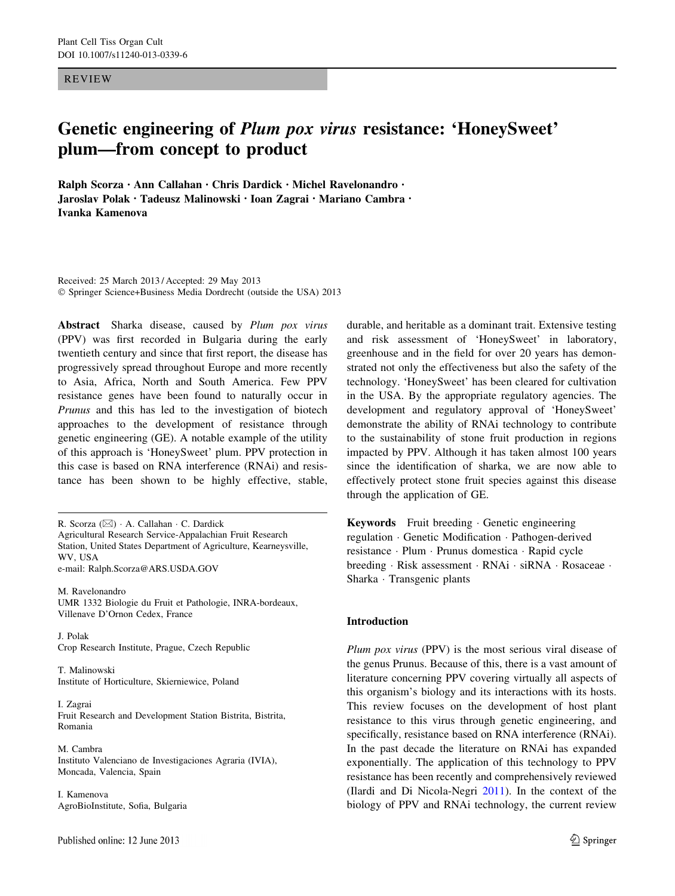REVIEW

# Genetic engineering of Plum pox virus resistance: 'HoneySweet' plum—from concept to product

Ralph Scorza • Ann Callahan • Chris Dardick • Michel Ravelonandro • Jaroslav Polak • Tadeusz Malinowski • Ioan Zagrai • Mariano Cambra • Ivanka Kamenova

Received: 25 March 2013 / Accepted: 29 May 2013 © Springer Science+Business Media Dordrecht (outside the USA) 2013

Abstract Sharka disease, caused by Plum pox virus (PPV) was first recorded in Bulgaria during the early twentieth century and since that first report, the disease has progressively spread throughout Europe and more recently to Asia, Africa, North and South America. Few PPV resistance genes have been found to naturally occur in Prunus and this has led to the investigation of biotech approaches to the development of resistance through genetic engineering (GE). A notable example of the utility of this approach is 'HoneySweet' plum. PPV protection in this case is based on RNA interference (RNAi) and resistance has been shown to be highly effective, stable,

R. Scorza (⊠) · A. Callahan · C. Dardick Agricultural Research Service-Appalachian Fruit Research Station, United States Department of Agriculture, Kearneysville, WV, USA e-mail: Ralph.Scorza@ARS.USDA.GOV

M. Ravelonandro UMR 1332 Biologie du Fruit et Pathologie, INRA-bordeaux, Villenave D'Ornon Cedex, France

J. Polak Crop Research Institute, Prague, Czech Republic

T. Malinowski Institute of Horticulture, Skierniewice, Poland

I. Zagrai Fruit Research and Development Station Bistrita, Bistrita, Romania

M. Cambra Instituto Valenciano de Investigaciones Agraria (IVIA), Moncada, Valencia, Spain

I. Kamenova AgroBioInstitute, Sofia, Bulgaria durable, and heritable as a dominant trait. Extensive testing and risk assessment of 'HoneySweet' in laboratory, greenhouse and in the field for over 20 years has demonstrated not only the effectiveness but also the safety of the technology. 'HoneySweet' has been cleared for cultivation in the USA. By the appropriate regulatory agencies. The development and regulatory approval of 'HoneySweet' demonstrate the ability of RNAi technology to contribute to the sustainability of stone fruit production in regions impacted by PPV. Although it has taken almost 100 years since the identification of sharka, we are now able to effectively protect stone fruit species against this disease through the application of GE.

Keywords Fruit breeding - Genetic engineering regulation - Genetic Modification - Pathogen-derived resistance - Plum - Prunus domestica - Rapid cycle breeding · Risk assessment · RNAi · siRNA · Rosaceae · Sharka - Transgenic plants

## Introduction

Plum pox virus (PPV) is the most serious viral disease of the genus Prunus. Because of this, there is a vast amount of literature concerning PPV covering virtually all aspects of this organism's biology and its interactions with its hosts. This review focuses on the development of host plant resistance to this virus through genetic engineering, and specifically, resistance based on RNA interference (RNAi). In the past decade the literature on RNAi has expanded exponentially. The application of this technology to PPV resistance has been recently and comprehensively reviewed (Ilardi and Di Nicola-Negri [2011\)](#page-8-0). In the context of the biology of PPV and RNAi technology, the current review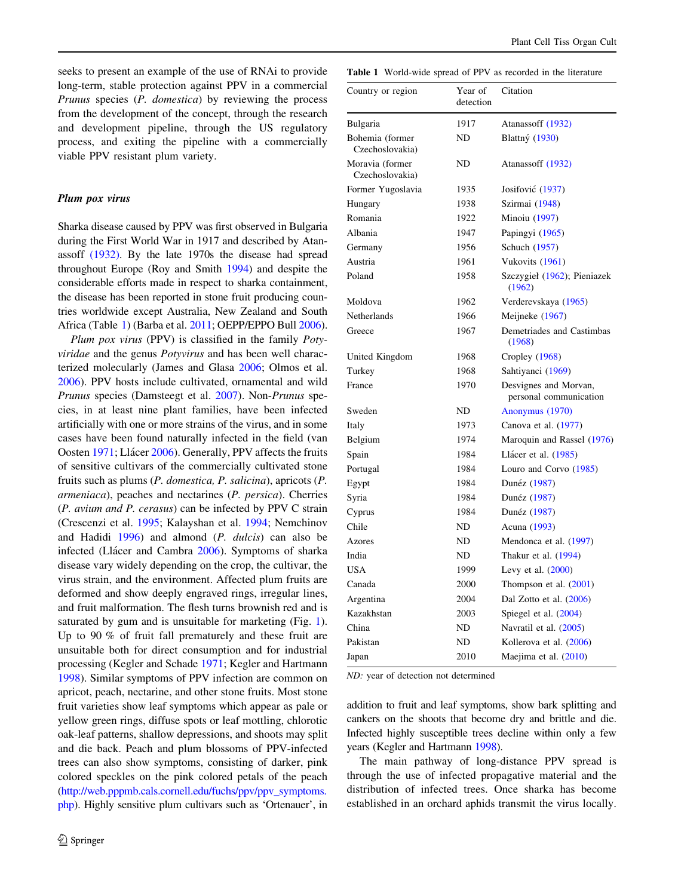seeks to present an example of the use of RNAi to provide long-term, stable protection against PPV in a commercial Prunus species (P. domestica) by reviewing the process from the development of the concept, through the research and development pipeline, through the US regulatory process, and exiting the pipeline with a commercially viable PPV resistant plum variety.

### Plum pox virus

Sharka disease caused by PPV was first observed in Bulgaria during the First World War in 1917 and described by Atanassoff [\(1932\)](#page-7-0). By the late 1970s the disease had spread throughout Europe (Roy and Smith [1994\)](#page-10-0) and despite the considerable efforts made in respect to sharka containment, the disease has been reported in stone fruit producing countries worldwide except Australia, New Zealand and South Africa (Table 1) (Barba et al. [2011;](#page-7-0) OEPP/EPPO Bull [2006](#page-10-0)).

Plum pox virus (PPV) is classified in the family Potyviridae and the genus Potyvirus and has been well characterized molecularly (James and Glasa [2006;](#page-8-0) Olmos et al. [2006\)](#page-10-0). PPV hosts include cultivated, ornamental and wild Prunus species (Damsteegt et al. [2007](#page-8-0)). Non-Prunus species, in at least nine plant families, have been infected artificially with one or more strains of the virus, and in some cases have been found naturally infected in the field (van Oosten [1971](#page-11-0); Llácer [2006](#page-9-0)). Generally, PPV affects the fruits of sensitive cultivars of the commercially cultivated stone fruits such as plums (P. domestica, P. salicina), apricots (P. armeniaca), peaches and nectarines (P. persica). Cherries (P. avium and P. cerasus) can be infected by PPV C strain (Crescenzi et al. [1995;](#page-8-0) Kalayshan et al. [1994](#page-9-0); Nemchinov and Hadidi [1996\)](#page-9-0) and almond (P. dulcis) can also be infected (Llácer and Cambra [2006](#page-9-0)). Symptoms of sharka disease vary widely depending on the crop, the cultivar, the virus strain, and the environment. Affected plum fruits are deformed and show deeply engraved rings, irregular lines, and fruit malformation. The flesh turns brownish red and is saturated by gum and is unsuitable for marketing (Fig. [1](#page-2-0)). Up to 90 % of fruit fall prematurely and these fruit are unsuitable both for direct consumption and for industrial processing (Kegler and Schade [1971](#page-9-0); Kegler and Hartmann [1998\)](#page-9-0). Similar symptoms of PPV infection are common on apricot, peach, nectarine, and other stone fruits. Most stone fruit varieties show leaf symptoms which appear as pale or yellow green rings, diffuse spots or leaf mottling, chlorotic oak-leaf patterns, shallow depressions, and shoots may split and die back. Peach and plum blossoms of PPV-infected trees can also show symptoms, consisting of darker, pink colored speckles on the pink colored petals of the peach [\(http://web.pppmb.cals.cornell.edu/fuchs/ppv/ppv\\_symptoms.](http://web.pppmb.cals.cornell.edu/fuchs/ppv/ppv_symptoms.php) [php](http://web.pppmb.cals.cornell.edu/fuchs/ppv/ppv_symptoms.php)). Highly sensitive plum cultivars such as 'Ortenauer', in

| Country or region                  | Year of<br>detection | Citation                                        |
|------------------------------------|----------------------|-------------------------------------------------|
| <b>Bulgaria</b>                    | 1917                 | Atanassoff (1932)                               |
| Bohemia (former<br>Czechoslovakia) | ND                   | Blattný $(1930)$                                |
| Moravia (former<br>Czechoslovakia) | ND                   | Atanassoff (1932)                               |
| Former Yugoslavia                  | 1935                 | Josifović (1937)                                |
| Hungary                            | 1938                 | Szirmai (1948)                                  |
| Romania                            | 1922                 | Minoiu (1997)                                   |
| Albania                            | 1947                 | Papingyi (1965)                                 |
| Germany                            | 1956                 | Schuch (1957)                                   |
| Austria                            | 1961                 | Vukovits (1961)                                 |
| Poland                             | 1958                 | Szczygieł (1962); Pieniazek<br>(1962)           |
| Moldova                            | 1962                 | Verderevskaya (1965)                            |
| Netherlands                        | 1966                 | Meijneke (1967)                                 |
| Greece                             | 1967                 | Demetriades and Castimbas<br>(1968)             |
| United Kingdom                     | 1968                 | Cropley (1968)                                  |
| Turkey                             | 1968                 | Sahtiyanci (1969)                               |
| France                             | 1970                 | Desvignes and Morvan,<br>personal communication |
| Sweden                             | ND                   | Anonymus (1970)                                 |
| Italy                              | 1973                 | Canova et al. (1977)                            |
| Belgium                            | 1974                 | Maroquin and Rassel (1976)                      |
| Spain                              | 1984                 | Llácer et al. (1985)                            |
| Portugal                           | 1984                 | Louro and Corvo (1985)                          |
| Egypt                              | 1984                 | Dunéz (1987)                                    |
| Syria                              | 1984                 | Dunéz (1987)                                    |
| Cyprus                             | 1984                 | Dunéz (1987)                                    |
| Chile                              | ND                   | Acuna (1993)                                    |
| Azores                             | ND                   | Mendonca et al. (1997)                          |
| India                              | ND                   | Thakur et al. (1994)                            |
| <b>USA</b>                         | 1999                 | Levy et al. $(2000)$                            |
| Canada                             | 2000                 | Thompson et al. $(2001)$                        |
| Argentina                          | 2004                 | Dal Zotto et al. (2006)                         |
| Kazakhstan                         | 2003                 | Spiegel et al. (2004)                           |
| China                              | ND                   | Navratil et al. (2005)                          |
| Pakistan                           | ND                   | Kollerova et al. (2006)                         |
| Japan                              | 2010                 | Maejima et al. (2010)                           |

ND: year of detection not determined

addition to fruit and leaf symptoms, show bark splitting and cankers on the shoots that become dry and brittle and die. Infected highly susceptible trees decline within only a few years (Kegler and Hartmann [1998](#page-9-0)).

The main pathway of long-distance PPV spread is through the use of infected propagative material and the distribution of infected trees. Once sharka has become established in an orchard aphids transmit the virus locally.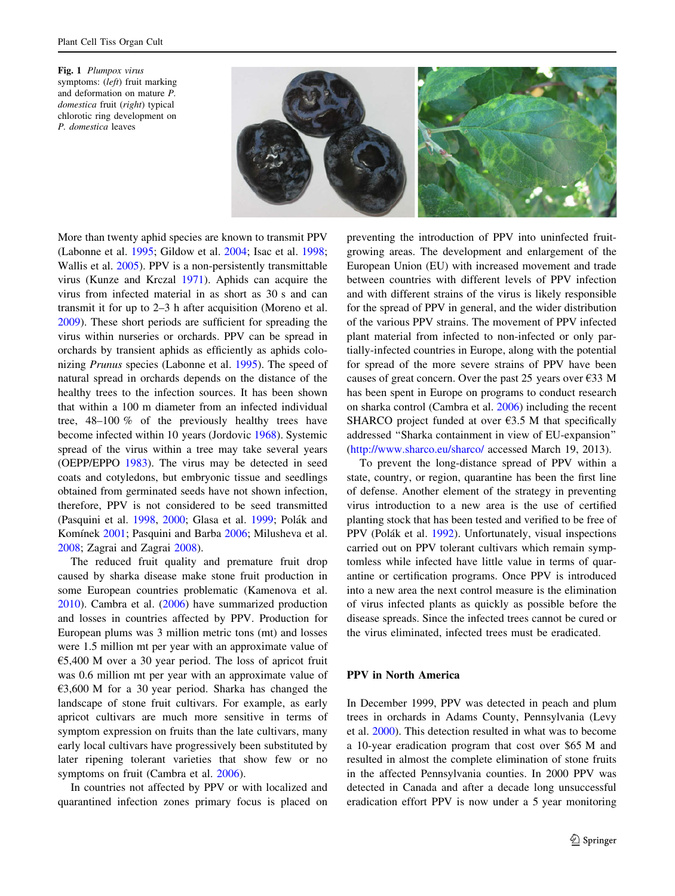<span id="page-2-0"></span>Fig. 1 Plumpox virus symptoms: (left) fruit marking and deformation on mature P. domestica fruit (right) typical chlorotic ring development on P. domestica leaves



More than twenty aphid species are known to transmit PPV (Labonne et al. [1995;](#page-9-0) Gildow et al. [2004;](#page-8-0) Isac et al. [1998](#page-8-0); Wallis et al. [2005\)](#page-11-0). PPV is a non-persistently transmittable virus (Kunze and Krczal [1971](#page-9-0)). Aphids can acquire the virus from infected material in as short as 30 s and can transmit it for up to 2–3 h after acquisition (Moreno et al. [2009\)](#page-9-0). These short periods are sufficient for spreading the virus within nurseries or orchards. PPV can be spread in orchards by transient aphids as efficiently as aphids colonizing Prunus species (Labonne et al. [1995](#page-9-0)). The speed of natural spread in orchards depends on the distance of the healthy trees to the infection sources. It has been shown that within a 100 m diameter from an infected individual tree, 48–100 % of the previously healthy trees have become infected within 10 years (Jordovic [1968](#page-9-0)). Systemic spread of the virus within a tree may take several years (OEPP/EPPO [1983](#page-10-0)). The virus may be detected in seed coats and cotyledons, but embryonic tissue and seedlings obtained from germinated seeds have not shown infection, therefore, PPV is not considered to be seed transmitted (Pasquini et al. [1998](#page-10-0), [2000;](#page-10-0) Glasa et al. [1999](#page-8-0); Polák and Komínek [2001](#page-10-0); Pasquini and Barba [2006](#page-10-0); Milusheva et al. [2008;](#page-9-0) Zagrai and Zagrai [2008\)](#page-11-0).

The reduced fruit quality and premature fruit drop caused by sharka disease make stone fruit production in some European countries problematic (Kamenova et al. [2010\)](#page-9-0). Cambra et al. ([2006\)](#page-8-0) have summarized production and losses in countries affected by PPV. Production for European plums was 3 million metric tons (mt) and losses were 1.5 million mt per year with an approximate value of €5,400 M over a 30 year period. The loss of apricot fruit was 0.6 million mt per year with an approximate value of  $\epsilon$ 3,600 M for a 30 year period. Sharka has changed the landscape of stone fruit cultivars. For example, as early apricot cultivars are much more sensitive in terms of symptom expression on fruits than the late cultivars, many early local cultivars have progressively been substituted by later ripening tolerant varieties that show few or no symptoms on fruit (Cambra et al. [2006](#page-8-0)).

In countries not affected by PPV or with localized and quarantined infection zones primary focus is placed on preventing the introduction of PPV into uninfected fruitgrowing areas. The development and enlargement of the European Union (EU) with increased movement and trade between countries with different levels of PPV infection and with different strains of the virus is likely responsible for the spread of PPV in general, and the wider distribution of the various PPV strains. The movement of PPV infected plant material from infected to non-infected or only partially-infected countries in Europe, along with the potential for spread of the more severe strains of PPV have been causes of great concern. Over the past 25 years over  $\epsilon$ 33 M has been spent in Europe on programs to conduct research on sharka control (Cambra et al. [2006](#page-8-0)) including the recent SHARCO project funded at over  $63.5$  M that specifically addressed ''Sharka containment in view of EU-expansion'' [\(http://www.sharco.eu/sharco/](http://www.sharco.eu/sharco/) accessed March 19, 2013).

To prevent the long-distance spread of PPV within a state, country, or region, quarantine has been the first line of defense. Another element of the strategy in preventing virus introduction to a new area is the use of certified planting stock that has been tested and verified to be free of PPV (Polák et al. [1992\)](#page-10-0). Unfortunately, visual inspections carried out on PPV tolerant cultivars which remain symptomless while infected have little value in terms of quarantine or certification programs. Once PPV is introduced into a new area the next control measure is the elimination of virus infected plants as quickly as possible before the disease spreads. Since the infected trees cannot be cured or the virus eliminated, infected trees must be eradicated.

#### PPV in North America

In December 1999, PPV was detected in peach and plum trees in orchards in Adams County, Pennsylvania (Levy et al. [2000\)](#page-9-0). This detection resulted in what was to become a 10-year eradication program that cost over \$65 M and resulted in almost the complete elimination of stone fruits in the affected Pennsylvania counties. In 2000 PPV was detected in Canada and after a decade long unsuccessful eradication effort PPV is now under a 5 year monitoring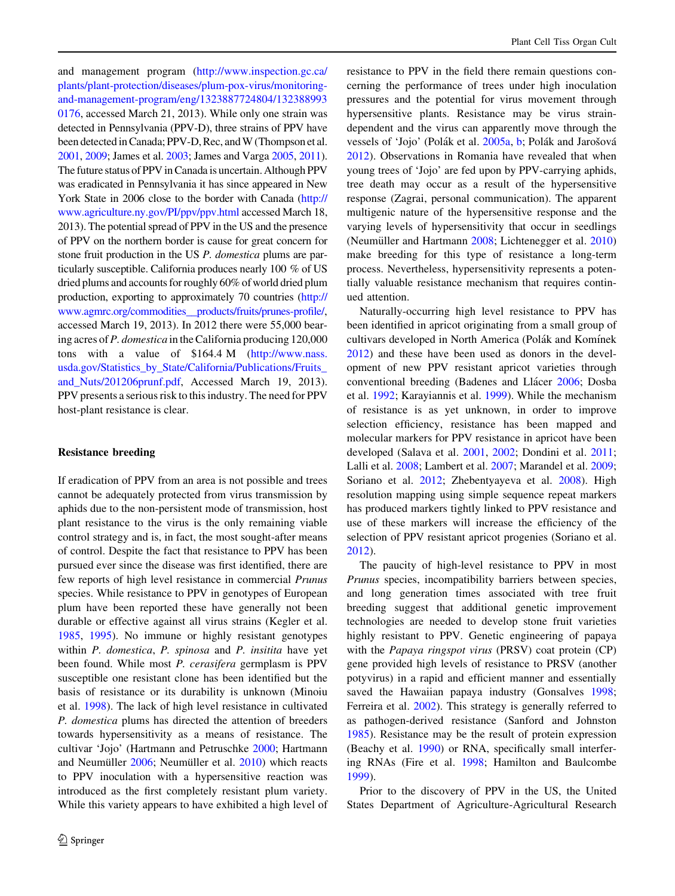and management program ([http://www.inspection.gc.ca/](http://www.inspection.gc.ca/plants/plant-protection/diseases/plum-pox-virus/monitoring-and-management-program/eng/1323887724804/1323889930176) [plants/plant-protection/diseases/plum-pox-virus/monitoring](http://www.inspection.gc.ca/plants/plant-protection/diseases/plum-pox-virus/monitoring-and-management-program/eng/1323887724804/1323889930176)[and-management-program/eng/1323887724804/132388993](http://www.inspection.gc.ca/plants/plant-protection/diseases/plum-pox-virus/monitoring-and-management-program/eng/1323887724804/1323889930176) [0176,](http://www.inspection.gc.ca/plants/plant-protection/diseases/plum-pox-virus/monitoring-and-management-program/eng/1323887724804/1323889930176) accessed March 21, 2013). While only one strain was detected in Pennsylvania (PPV-D), three strains of PPV have been detected in Canada; PPV-D, Rec, and W (Thompson et al. [2001](#page-11-0), [2009;](#page-11-0) James et al. [2003](#page-9-0); James and Varga [2005](#page-8-0), [2011](#page-8-0)). The future status of PPV in Canada is uncertain. Although PPV was eradicated in Pennsylvania it has since appeared in New York State in 2006 close to the border with Canada [\(http://](http://www.agriculture.ny.gov/PI/ppv/ppv.html) [www.agriculture.ny.gov/PI/ppv/ppv.html](http://www.agriculture.ny.gov/PI/ppv/ppv.html) accessed March 18, 2013). The potential spread of PPV in the US and the presence of PPV on the northern border is cause for great concern for stone fruit production in the US P. domestica plums are particularly susceptible. California produces nearly 100 % of US dried plums and accounts for roughly 60% of world dried plum production, exporting to approximately 70 countries [\(http://](http://www.agmrc.org/commodities__products/fruits/prunes-profile/) [www.agmrc.org/commodities\\_\\_products/fruits/prunes-profile/](http://www.agmrc.org/commodities__products/fruits/prunes-profile/), accessed March 19, 2013). In 2012 there were 55,000 bearing acres of  $P$ . domestica in the California producing 120,000 tons with a value of \$164.4 M [\(http://www.nass.](http://www.nass.usda.gov/Statistics_by_State/California/Publications/Fruits_and_Nuts/201206prunf.pdf) [usda.gov/Statistics\\_by\\_State/California/Publications/Fruits\\_](http://www.nass.usda.gov/Statistics_by_State/California/Publications/Fruits_and_Nuts/201206prunf.pdf) [and\\_Nuts/201206prunf.pdf](http://www.nass.usda.gov/Statistics_by_State/California/Publications/Fruits_and_Nuts/201206prunf.pdf), Accessed March 19, 2013). PPV presents a serious risk to this industry. The need for PPV host-plant resistance is clear.

#### Resistance breeding

If eradication of PPV from an area is not possible and trees cannot be adequately protected from virus transmission by aphids due to the non-persistent mode of transmission, host plant resistance to the virus is the only remaining viable control strategy and is, in fact, the most sought-after means of control. Despite the fact that resistance to PPV has been pursued ever since the disease was first identified, there are few reports of high level resistance in commercial Prunus species. While resistance to PPV in genotypes of European plum have been reported these have generally not been durable or effective against all virus strains (Kegler et al. [1985,](#page-9-0) [1995\)](#page-9-0). No immune or highly resistant genotypes within P. domestica, P. spinosa and P. insitita have yet been found. While most P. cerasifera germplasm is PPV susceptible one resistant clone has been identified but the basis of resistance or its durability is unknown (Minoiu et al. [1998](#page-9-0)). The lack of high level resistance in cultivated P. domestica plums has directed the attention of breeders towards hypersensitivity as a means of resistance. The cultivar 'Jojo' (Hartmann and Petruschke [2000](#page-8-0); Hartmann and Neumüller [2006](#page-8-0); Neumüller et al. [2010](#page-10-0)) which reacts to PPV inoculation with a hypersensitive reaction was introduced as the first completely resistant plum variety. While this variety appears to have exhibited a high level of resistance to PPV in the field there remain questions concerning the performance of trees under high inoculation pressures and the potential for virus movement through hypersensitive plants. Resistance may be virus straindependent and the virus can apparently move through the vessels of 'Jojo' (Polák et al. [2005a,](#page-10-0) [b;](#page-10-0) Polák and Jarošová [2012](#page-10-0)). Observations in Romania have revealed that when young trees of 'Jojo' are fed upon by PPV-carrying aphids, tree death may occur as a result of the hypersensitive response (Zagrai, personal communication). The apparent multigenic nature of the hypersensitive response and the varying levels of hypersensitivity that occur in seedlings (Neumüller and Hartmann [2008;](#page-9-0) Lichtenegger et al. [2010\)](#page-9-0) make breeding for this type of resistance a long-term process. Nevertheless, hypersensitivity represents a potentially valuable resistance mechanism that requires continued attention.

Naturally-occurring high level resistance to PPV has been identified in apricot originating from a small group of cultivars developed in North America (Polák and Komínek [2012](#page-10-0)) and these have been used as donors in the development of new PPV resistant apricot varieties through conventional breeding (Badenes and Llácer [2006;](#page-7-0) Dosba et al. [1992;](#page-8-0) Karayiannis et al. [1999\)](#page-9-0). While the mechanism of resistance is as yet unknown, in order to improve selection efficiency, resistance has been mapped and molecular markers for PPV resistance in apricot have been developed (Salava et al. [2001,](#page-10-0) [2002;](#page-10-0) Dondini et al. [2011](#page-8-0); Lalli et al. [2008;](#page-9-0) Lambert et al. [2007](#page-9-0); Marandel et al. [2009](#page-9-0); Soriano et al. [2012](#page-11-0); Zhebentyayeva et al. [2008](#page-11-0)). High resolution mapping using simple sequence repeat markers has produced markers tightly linked to PPV resistance and use of these markers will increase the efficiency of the selection of PPV resistant apricot progenies (Soriano et al. [2012](#page-11-0)).

The paucity of high-level resistance to PPV in most Prunus species, incompatibility barriers between species, and long generation times associated with tree fruit breeding suggest that additional genetic improvement technologies are needed to develop stone fruit varieties highly resistant to PPV. Genetic engineering of papaya with the *Papaya ringspot virus* (PRSV) coat protein (CP) gene provided high levels of resistance to PRSV (another potyvirus) in a rapid and efficient manner and essentially saved the Hawaiian papaya industry (Gonsalves [1998](#page-8-0); Ferreira et al. [2002](#page-8-0)). This strategy is generally referred to as pathogen-derived resistance (Sanford and Johnston [1985](#page-10-0)). Resistance may be the result of protein expression (Beachy et al. [1990\)](#page-7-0) or RNA, specifically small interfering RNAs (Fire et al. [1998](#page-8-0); Hamilton and Baulcombe [1999](#page-8-0)).

Prior to the discovery of PPV in the US, the United States Department of Agriculture-Agricultural Research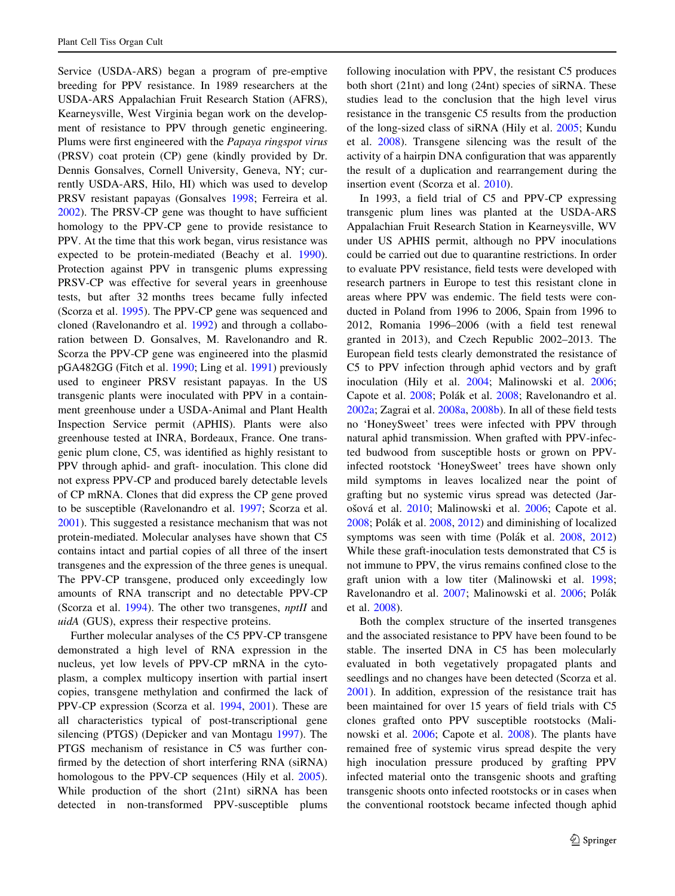Service (USDA-ARS) began a program of pre-emptive breeding for PPV resistance. In 1989 researchers at the USDA-ARS Appalachian Fruit Research Station (AFRS), Kearneysville, West Virginia began work on the development of resistance to PPV through genetic engineering. Plums were first engineered with the Papaya ringspot virus (PRSV) coat protein (CP) gene (kindly provided by Dr. Dennis Gonsalves, Cornell University, Geneva, NY; currently USDA-ARS, Hilo, HI) which was used to develop PRSV resistant papayas (Gonsalves [1998](#page-8-0); Ferreira et al. [2002\)](#page-8-0). The PRSV-CP gene was thought to have sufficient homology to the PPV-CP gene to provide resistance to PPV. At the time that this work began, virus resistance was expected to be protein-mediated (Beachy et al. [1990](#page-7-0)). Protection against PPV in transgenic plums expressing PRSV-CP was effective for several years in greenhouse tests, but after 32 months trees became fully infected (Scorza et al. [1995\)](#page-10-0). The PPV-CP gene was sequenced and cloned (Ravelonandro et al. [1992\)](#page-10-0) and through a collaboration between D. Gonsalves, M. Ravelonandro and R. Scorza the PPV-CP gene was engineered into the plasmid pGA482GG (Fitch et al. [1990](#page-8-0); Ling et al. [1991\)](#page-9-0) previously used to engineer PRSV resistant papayas. In the US transgenic plants were inoculated with PPV in a containment greenhouse under a USDA-Animal and Plant Health Inspection Service permit (APHIS). Plants were also greenhouse tested at INRA, Bordeaux, France. One transgenic plum clone, C5, was identified as highly resistant to PPV through aphid- and graft- inoculation. This clone did not express PPV-CP and produced barely detectable levels of CP mRNA. Clones that did express the CP gene proved to be susceptible (Ravelonandro et al. [1997](#page-10-0); Scorza et al. [2001\)](#page-10-0). This suggested a resistance mechanism that was not protein-mediated. Molecular analyses have shown that C5 contains intact and partial copies of all three of the insert transgenes and the expression of the three genes is unequal. The PPV-CP transgene, produced only exceedingly low amounts of RNA transcript and no detectable PPV-CP (Scorza et al. [1994](#page-10-0)). The other two transgenes, nptII and uidA (GUS), express their respective proteins.

Further molecular analyses of the C5 PPV-CP transgene demonstrated a high level of RNA expression in the nucleus, yet low levels of PPV-CP mRNA in the cytoplasm, a complex multicopy insertion with partial insert copies, transgene methylation and confirmed the lack of PPV-CP expression (Scorza et al. [1994,](#page-10-0) [2001\)](#page-10-0). These are all characteristics typical of post-transcriptional gene silencing (PTGS) (Depicker and van Montagu [1997](#page-8-0)). The PTGS mechanism of resistance in C5 was further confirmed by the detection of short interfering RNA (siRNA) homologous to the PPV-CP sequences (Hily et al. [2005](#page-8-0)). While production of the short (21nt) siRNA has been detected in non-transformed PPV-susceptible plums

following inoculation with PPV, the resistant C5 produces both short (21nt) and long (24nt) species of siRNA. These studies lead to the conclusion that the high level virus resistance in the transgenic C5 results from the production of the long-sized class of siRNA (Hily et al. [2005](#page-8-0); Kundu et al. [2008\)](#page-9-0). Transgene silencing was the result of the activity of a hairpin DNA configuration that was apparently the result of a duplication and rearrangement during the insertion event (Scorza et al. [2010](#page-11-0)).

In 1993, a field trial of C5 and PPV-CP expressing transgenic plum lines was planted at the USDA-ARS Appalachian Fruit Research Station in Kearneysville, WV under US APHIS permit, although no PPV inoculations could be carried out due to quarantine restrictions. In order to evaluate PPV resistance, field tests were developed with research partners in Europe to test this resistant clone in areas where PPV was endemic. The field tests were conducted in Poland from 1996 to 2006, Spain from 1996 to 2012, Romania 1996–2006 (with a field test renewal granted in 2013), and Czech Republic 2002–2013. The European field tests clearly demonstrated the resistance of C5 to PPV infection through aphid vectors and by graft inoculation (Hily et al. [2004;](#page-8-0) Malinowski et al. [2006](#page-9-0); Capote et al. [2008;](#page-8-0) Polák et al. [2008](#page-10-0); Ravelonandro et al. [2002a;](#page-10-0) Zagrai et al. [2008a,](#page-11-0) [2008b\)](#page-11-0). In all of these field tests no 'HoneySweet' trees were infected with PPV through natural aphid transmission. When grafted with PPV-infected budwood from susceptible hosts or grown on PPVinfected rootstock 'HoneySweet' trees have shown only mild symptoms in leaves localized near the point of grafting but no systemic virus spread was detected (Jar-ošová et al. [2010](#page-9-0); Malinowski et al. [2006](#page-9-0); Capote et al. [2008](#page-8-0); Polák et al. [2008,](#page-10-0) [2012\)](#page-10-0) and diminishing of localized symptoms was seen with time (Polák et al. [2008](#page-10-0), [2012\)](#page-10-0) While these graft-inoculation tests demonstrated that C5 is not immune to PPV, the virus remains confined close to the graft union with a low titer (Malinowski et al. [1998](#page-9-0); Ravelonandro et al. [2007](#page-10-0); Malinowski et al. [2006;](#page-9-0) Polák et al. [2008\)](#page-10-0).

Both the complex structure of the inserted transgenes and the associated resistance to PPV have been found to be stable. The inserted DNA in C5 has been molecularly evaluated in both vegetatively propagated plants and seedlings and no changes have been detected (Scorza et al. [2001](#page-10-0)). In addition, expression of the resistance trait has been maintained for over 15 years of field trials with C5 clones grafted onto PPV susceptible rootstocks (Malinowski et al. [2006;](#page-9-0) Capote et al. [2008](#page-8-0)). The plants have remained free of systemic virus spread despite the very high inoculation pressure produced by grafting PPV infected material onto the transgenic shoots and grafting transgenic shoots onto infected rootstocks or in cases when the conventional rootstock became infected though aphid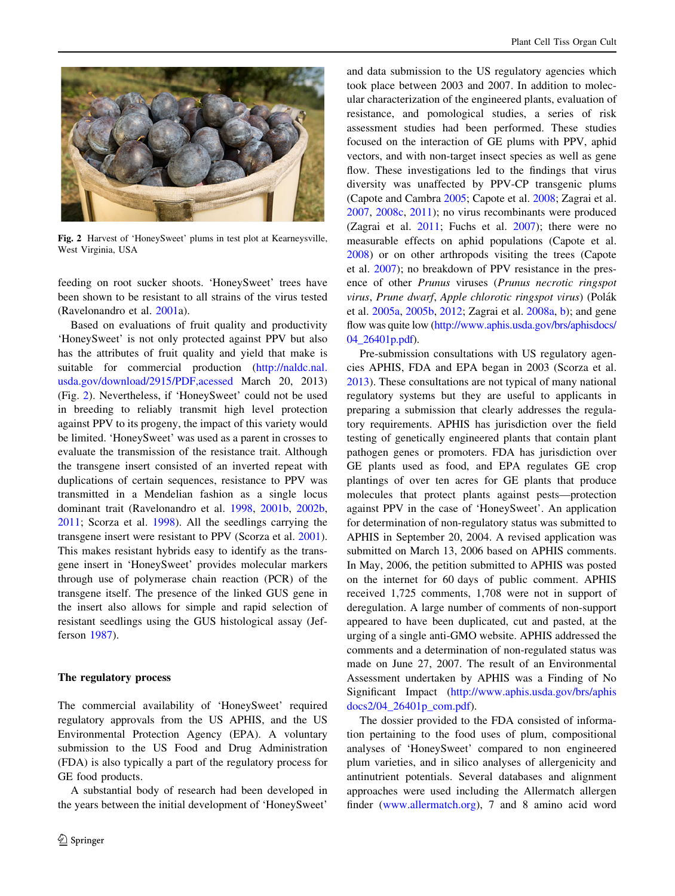

Fig. 2 Harvest of 'HoneySweet' plums in test plot at Kearneysville, West Virginia, USA

feeding on root sucker shoots. 'HoneySweet' trees have been shown to be resistant to all strains of the virus tested (Ravelonandro et al. [2001](#page-10-0)a).

Based on evaluations of fruit quality and productivity 'HoneySweet' is not only protected against PPV but also has the attributes of fruit quality and yield that make is suitable for commercial production [\(http://naldc.nal.](http://naldc.nal.usda.gov/download/2915/PDF,acessed) [usda.gov/download/2915/PDF,acessed](http://naldc.nal.usda.gov/download/2915/PDF,acessed) March 20, 2013) (Fig. 2). Nevertheless, if 'HoneySweet' could not be used in breeding to reliably transmit high level protection against PPV to its progeny, the impact of this variety would be limited. 'HoneySweet' was used as a parent in crosses to evaluate the transmission of the resistance trait. Although the transgene insert consisted of an inverted repeat with duplications of certain sequences, resistance to PPV was transmitted in a Mendelian fashion as a single locus dominant trait (Ravelonandro et al. [1998](#page-10-0), [2001b,](#page-10-0) [2002b,](#page-10-0) [2011;](#page-10-0) Scorza et al. [1998\)](#page-10-0). All the seedlings carrying the transgene insert were resistant to PPV (Scorza et al. [2001](#page-10-0)). This makes resistant hybrids easy to identify as the transgene insert in 'HoneySweet' provides molecular markers through use of polymerase chain reaction (PCR) of the transgene itself. The presence of the linked GUS gene in the insert also allows for simple and rapid selection of resistant seedlings using the GUS histological assay (Jefferson [1987](#page-9-0)).

#### The regulatory process

The commercial availability of 'HoneySweet' required regulatory approvals from the US APHIS, and the US Environmental Protection Agency (EPA). A voluntary submission to the US Food and Drug Administration (FDA) is also typically a part of the regulatory process for GE food products.

A substantial body of research had been developed in the years between the initial development of 'HoneySweet'

and data submission to the US regulatory agencies which took place between 2003 and 2007. In addition to molecular characterization of the engineered plants, evaluation of resistance, and pomological studies, a series of risk assessment studies had been performed. These studies focused on the interaction of GE plums with PPV, aphid vectors, and with non-target insect species as well as gene flow. These investigations led to the findings that virus diversity was unaffected by PPV-CP transgenic plums (Capote and Cambra [2005;](#page-8-0) Capote et al. [2008](#page-8-0); Zagrai et al. [2007](#page-11-0), [2008c](#page-11-0), [2011\)](#page-11-0); no virus recombinants were produced (Zagrai et al. [2011](#page-11-0); Fuchs et al. [2007\)](#page-8-0); there were no measurable effects on aphid populations (Capote et al. [2008](#page-8-0)) or on other arthropods visiting the trees (Capote et al. [2007](#page-8-0)); no breakdown of PPV resistance in the presence of other Prunus viruses (Prunus necrotic ringspot virus, Prune dwarf, Apple chlorotic ringspot virus) (Polák et al. [2005a,](#page-10-0) [2005b](#page-10-0), [2012](#page-10-0); Zagrai et al. [2008a](#page-11-0), [b](#page-11-0)); and gene flow was quite low [\(http://www.aphis.usda.gov/brs/aphisdocs/](http://www.aphis.usda.gov/brs/aphisdocs/04_26401p.pdf) [04\\_26401p.pdf\)](http://www.aphis.usda.gov/brs/aphisdocs/04_26401p.pdf).

Pre-submission consultations with US regulatory agencies APHIS, FDA and EPA began in 2003 (Scorza et al. [2013](#page-11-0)). These consultations are not typical of many national regulatory systems but they are useful to applicants in preparing a submission that clearly addresses the regulatory requirements. APHIS has jurisdiction over the field testing of genetically engineered plants that contain plant pathogen genes or promoters. FDA has jurisdiction over GE plants used as food, and EPA regulates GE crop plantings of over ten acres for GE plants that produce molecules that protect plants against pests—protection against PPV in the case of 'HoneySweet'. An application for determination of non-regulatory status was submitted to APHIS in September 20, 2004. A revised application was submitted on March 13, 2006 based on APHIS comments. In May, 2006, the petition submitted to APHIS was posted on the internet for 60 days of public comment. APHIS received 1,725 comments, 1,708 were not in support of deregulation. A large number of comments of non-support appeared to have been duplicated, cut and pasted, at the urging of a single anti-GMO website. APHIS addressed the comments and a determination of non-regulated status was made on June 27, 2007. The result of an Environmental Assessment undertaken by APHIS was a Finding of No Significant Impact ([http://www.aphis.usda.gov/brs/aphis](http://www.aphis.usda.gov/brs/aphisdocs2/04_26401p_com.pdf) [docs2/04\\_26401p\\_com.pdf](http://www.aphis.usda.gov/brs/aphisdocs2/04_26401p_com.pdf)).

The dossier provided to the FDA consisted of information pertaining to the food uses of plum, compositional analyses of 'HoneySweet' compared to non engineered plum varieties, and in silico analyses of allergenicity and antinutrient potentials. Several databases and alignment approaches were used including the Allermatch allergen finder ([www.allermatch.org](http://www.allermatch.org)), 7 and 8 amino acid word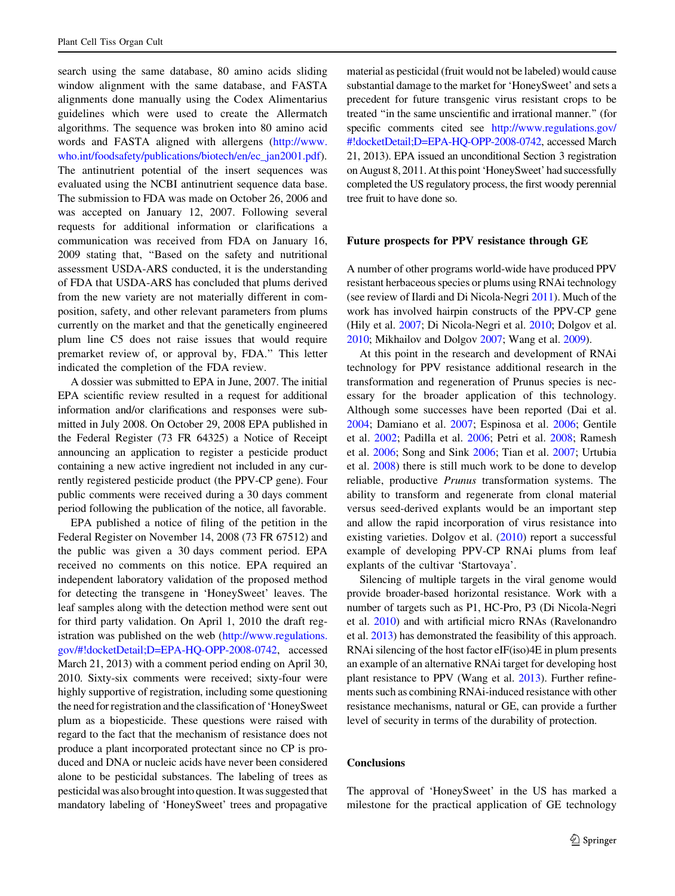search using the same database, 80 amino acids sliding window alignment with the same database, and FASTA alignments done manually using the Codex Alimentarius guidelines which were used to create the Allermatch algorithms. The sequence was broken into 80 amino acid words and FASTA aligned with allergens [\(http://www.](http://www.who.int/foodsafety/publications/biotech/en/ec_jan2001.pdf) [who.int/foodsafety/publications/biotech/en/ec\\_jan2001.pdf\)](http://www.who.int/foodsafety/publications/biotech/en/ec_jan2001.pdf). The antinutrient potential of the insert sequences was evaluated using the NCBI antinutrient sequence data base. The submission to FDA was made on October 26, 2006 and was accepted on January 12, 2007. Following several requests for additional information or clarifications a communication was received from FDA on January 16, 2009 stating that, ''Based on the safety and nutritional assessment USDA-ARS conducted, it is the understanding of FDA that USDA-ARS has concluded that plums derived from the new variety are not materially different in composition, safety, and other relevant parameters from plums currently on the market and that the genetically engineered plum line C5 does not raise issues that would require premarket review of, or approval by, FDA.'' This letter indicated the completion of the FDA review.

A dossier was submitted to EPA in June, 2007. The initial EPA scientific review resulted in a request for additional information and/or clarifications and responses were submitted in July 2008. On October 29, 2008 EPA published in the Federal Register (73 FR 64325) a Notice of Receipt announcing an application to register a pesticide product containing a new active ingredient not included in any currently registered pesticide product (the PPV-CP gene). Four public comments were received during a 30 days comment period following the publication of the notice, all favorable.

EPA published a notice of filing of the petition in the Federal Register on November 14, 2008 (73 FR 67512) and the public was given a 30 days comment period. EPA received no comments on this notice. EPA required an independent laboratory validation of the proposed method for detecting the transgene in 'HoneySweet' leaves. The leaf samples along with the detection method were sent out for third party validation. On April 1, 2010 the draft registration was published on the web [\(http://www.regulations.](http://www.regulations.gov/#!docketDetail;D=EPA-HQ-OPP-2008-0742) [gov/#!docketDetail;D=EPA-HQ-OPP-2008-0742,](http://www.regulations.gov/#!docketDetail;D=EPA-HQ-OPP-2008-0742) accessed March 21, 2013) with a comment period ending on April 30, 2010. Sixty-six comments were received; sixty-four were highly supportive of registration, including some questioning the need for registration and the classification of 'HoneySweet plum as a biopesticide. These questions were raised with regard to the fact that the mechanism of resistance does not produce a plant incorporated protectant since no CP is produced and DNA or nucleic acids have never been considered alone to be pesticidal substances. The labeling of trees as pesticidal was also brought into question. It was suggested that mandatory labeling of 'HoneySweet' trees and propagative

2 Springer

material as pesticidal (fruit would not be labeled) would cause substantial damage to the market for 'HoneySweet' and sets a precedent for future transgenic virus resistant crops to be treated ''in the same unscientific and irrational manner.'' (for specific comments cited see [http://www.regulations.gov/](http://www.regulations.gov/#!docketDetail;D=EPA-HQ-OPP-2008-0742) [#!docketDetail;D=EPA-HQ-OPP-2008-0742,](http://www.regulations.gov/#!docketDetail;D=EPA-HQ-OPP-2008-0742) accessed March 21, 2013). EPA issued an unconditional Section 3 registration on August 8, 2011. At this point 'HoneySweet' had successfully completed the US regulatory process, the first woody perennial tree fruit to have done so.

## Future prospects for PPV resistance through GE

A number of other programs world-wide have produced PPV resistant herbaceous species or plums using RNAi technology (see review of Ilardi and Di Nicola-Negri [2011\)](#page-8-0). Much of the work has involved hairpin constructs of the PPV-CP gene (Hily et al. [2007;](#page-8-0) Di Nicola-Negri et al. [2010;](#page-8-0) Dolgov et al. [2010;](#page-8-0) Mikhailov and Dolgov [2007](#page-9-0); Wang et al. [2009\)](#page-11-0).

At this point in the research and development of RNAi technology for PPV resistance additional research in the transformation and regeneration of Prunus species is necessary for the broader application of this technology. Although some successes have been reported (Dai et al. [2004](#page-8-0); Damiano et al. [2007](#page-8-0); Espinosa et al. [2006](#page-8-0); Gentile et al. [2002](#page-8-0); Padilla et al. [2006](#page-10-0); Petri et al. [2008;](#page-10-0) Ramesh et al. [2006](#page-10-0); Song and Sink [2006](#page-11-0); Tian et al. [2007;](#page-11-0) Urtubia et al. [2008](#page-11-0)) there is still much work to be done to develop reliable, productive Prunus transformation systems. The ability to transform and regenerate from clonal material versus seed-derived explants would be an important step and allow the rapid incorporation of virus resistance into existing varieties. Dolgov et al. [\(2010](#page-8-0)) report a successful example of developing PPV-CP RNAi plums from leaf explants of the cultivar 'Startovaya'.

Silencing of multiple targets in the viral genome would provide broader-based horizontal resistance. Work with a number of targets such as P1, HC-Pro, P3 (Di Nicola-Negri et al. [2010\)](#page-8-0) and with artificial micro RNAs (Ravelonandro et al. [2013](#page-10-0)) has demonstrated the feasibility of this approach. RNAi silencing of the host factor eIF(iso)4E in plum presents an example of an alternative RNAi target for developing host plant resistance to PPV (Wang et al. [2013](#page-11-0)). Further refinements such as combining RNAi-induced resistance with other resistance mechanisms, natural or GE, can provide a further level of security in terms of the durability of protection.

## **Conclusions**

The approval of 'HoneySweet' in the US has marked a milestone for the practical application of GE technology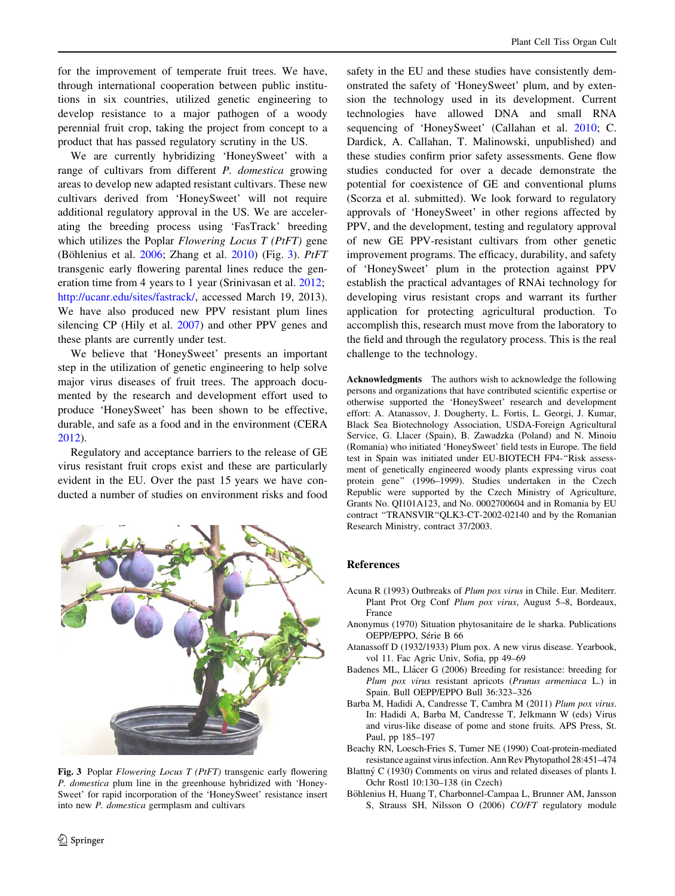<span id="page-7-0"></span>for the improvement of temperate fruit trees. We have, through international cooperation between public institutions in six countries, utilized genetic engineering to develop resistance to a major pathogen of a woody perennial fruit crop, taking the project from concept to a product that has passed regulatory scrutiny in the US.

We are currently hybridizing 'HoneySweet' with a range of cultivars from different P. domestica growing areas to develop new adapted resistant cultivars. These new cultivars derived from 'HoneySweet' will not require additional regulatory approval in the US. We are accelerating the breeding process using 'FasTrack' breeding which utilizes the Poplar Flowering Locus  $T$  (PtFT) gene (Böhlenius et al.  $2006$ ; Zhang et al.  $2010$ ) (Fig. 3).  $PtFT$ transgenic early flowering parental lines reduce the generation time from 4 years to 1 year (Srinivasan et al. [2012;](#page-11-0) <http://ucanr.edu/sites/fastrack/>, accessed March 19, 2013). We have also produced new PPV resistant plum lines silencing CP (Hily et al. [2007](#page-8-0)) and other PPV genes and these plants are currently under test.

We believe that 'HoneySweet' presents an important step in the utilization of genetic engineering to help solve major virus diseases of fruit trees. The approach documented by the research and development effort used to produce 'HoneySweet' has been shown to be effective, durable, and safe as a food and in the environment (CERA [2012\)](#page-8-0).

Regulatory and acceptance barriers to the release of GE virus resistant fruit crops exist and these are particularly evident in the EU. Over the past 15 years we have conducted a number of studies on environment risks and food



Fig. 3 Poplar Flowering Locus T (PtFT) transgenic early flowering P. domestica plum line in the greenhouse hybridized with 'Honey-Sweet' for rapid incorporation of the 'HoneySweet' resistance insert into new P. domestica germplasm and cultivars

 $\bigcirc$  Springer

safety in the EU and these studies have consistently demonstrated the safety of 'HoneySweet' plum, and by extension the technology used in its development. Current technologies have allowed DNA and small RNA sequencing of 'HoneySweet' (Callahan et al. [2010;](#page-8-0) C. Dardick, A. Callahan, T. Malinowski, unpublished) and these studies confirm prior safety assessments. Gene flow studies conducted for over a decade demonstrate the potential for coexistence of GE and conventional plums (Scorza et al. submitted). We look forward to regulatory approvals of 'HoneySweet' in other regions affected by PPV, and the development, testing and regulatory approval of new GE PPV-resistant cultivars from other genetic improvement programs. The efficacy, durability, and safety of 'HoneySweet' plum in the protection against PPV establish the practical advantages of RNAi technology for developing virus resistant crops and warrant its further application for protecting agricultural production. To accomplish this, research must move from the laboratory to the field and through the regulatory process. This is the real challenge to the technology.

Acknowledgments The authors wish to acknowledge the following persons and organizations that have contributed scientific expertise or otherwise supported the 'HoneySweet' research and development effort: A. Atanassov, J. Dougherty, L. Fortis, L. Georgi, J. Kumar, Black Sea Biotechnology Association, USDA-Foreign Agricultural Service, G. Llacer (Spain), B. Zawadzka (Poland) and N. Minoiu (Romania) who initiated 'HoneySweet' field tests in Europe. The field test in Spain was initiated under EU-BIOTECH FP4-''Risk assessment of genetically engineered woody plants expressing virus coat protein gene'' (1996–1999). Studies undertaken in the Czech Republic were supported by the Czech Ministry of Agriculture, Grants No. QI101A123, and No. 0002700604 and in Romania by EU contract ''TRANSVIR''QLK3-CT-2002-02140 and by the Romanian Research Ministry, contract 37/2003.

#### References

- Acuna R (1993) Outbreaks of Plum pox virus in Chile. Eur. Mediterr. Plant Prot Org Conf Plum pox virus, August 5–8, Bordeaux, France
- Anonymus (1970) Situation phytosanitaire de le sharka. Publications OEPP/EPPO, Série B 66
- Atanassoff D (1932/1933) Plum pox. A new virus disease. Yearbook, vol 11. Fac Agric Univ, Sofia, pp 49–69
- Badenes ML, Llácer G (2006) Breeding for resistance: breeding for Plum pox virus resistant apricots (Prunus armeniaca L.) in Spain. Bull OEPP/EPPO Bull 36:323–326
- Barba M, Hadidi A, Candresse T, Cambra M (2011) Plum pox virus. In: Hadidi A, Barba M, Candresse T, Jelkmann W (eds) Virus and virus-like disease of pome and stone fruits. APS Press, St. Paul, pp 185–197
- Beachy RN, Loesch-Fries S, Tumer NE (1990) Coat-protein-mediated resistance against virus infection. Ann Rev Phytopathol 28:451–474
- Blattný C (1930) Comments on virus and related diseases of plants I. Ochr Rostl 10:130–138 (in Czech)
- Böhlenius H, Huang T, Charbonnel-Campaa L, Brunner AM, Jansson S, Strauss SH, Nilsson O (2006) CO/FT regulatory module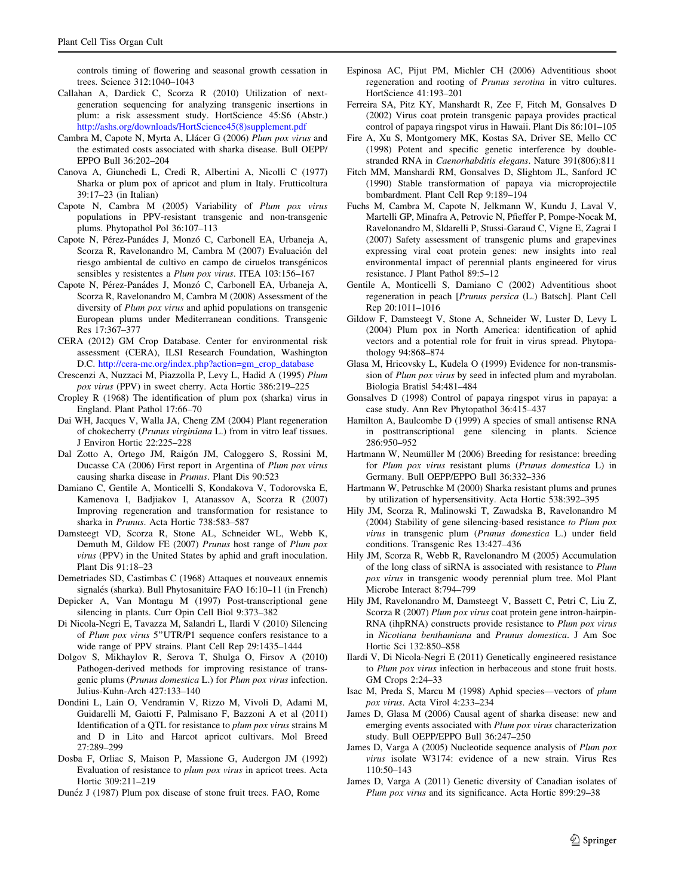<span id="page-8-0"></span>controls timing of flowering and seasonal growth cessation in trees. Science 312:1040–1043

- Callahan A, Dardick C, Scorza R (2010) Utilization of nextgeneration sequencing for analyzing transgenic insertions in plum: a risk assessment study. HortScience 45:S6 (Abstr.) [http://ashs.org/downloads/HortScience45\(8\)supplement.pdf](http://ashs.org/downloads/HortScience45(8)supplement.pdf)
- Cambra M, Capote N, Myrta A, Llácer G (2006) Plum pox virus and the estimated costs associated with sharka disease. Bull OEPP/ EPPO Bull 36:202–204
- Canova A, Giunchedi L, Credi R, Albertini A, Nicolli C (1977) Sharka or plum pox of apricot and plum in Italy. Frutticoltura 39:17–23 (in Italian)
- Capote N, Cambra M (2005) Variability of Plum pox virus populations in PPV-resistant transgenic and non-transgenic plums. Phytopathol Pol 36:107–113
- Capote N, Pérez-Panádes J, Monzó C, Carbonell EA, Urbaneja A, Scorza R, Ravelonandro M, Cambra M (2007) Evaluación del riesgo ambiental de cultivo en campo de ciruelos transgénicos sensibles y resistentes a Plum pox virus. ITEA 103:156-167
- Capote N, Pérez-Panádes J, Monzó C, Carbonell EA, Urbaneja A, Scorza R, Ravelonandro M, Cambra M (2008) Assessment of the diversity of Plum pox virus and aphid populations on transgenic European plums under Mediterranean conditions. Transgenic Res 17:367–377
- CERA (2012) GM Crop Database. Center for environmental risk assessment (CERA), ILSI Research Foundation, Washington D.C. [http://cera-mc.org/index.php?action=gm\\_crop\\_database](http://cera-mc.org/index.php?action=gm_crop_database)
- Crescenzi A, Nuzzaci M, Piazzolla P, Levy L, Hadid A (1995) Plum pox virus (PPV) in sweet cherry. Acta Hortic 386:219–225
- Cropley R (1968) The identification of plum pox (sharka) virus in England. Plant Pathol 17:66–70
- Dai WH, Jacques V, Walla JA, Cheng ZM (2004) Plant regeneration of chokecherry (Prunus virginiana L.) from in vitro leaf tissues. J Environ Hortic 22:225–228
- Dal Zotto A, Ortego JM, Raigón JM, Caloggero S, Rossini M, Ducasse CA (2006) First report in Argentina of Plum pox virus causing sharka disease in Prunus. Plant Dis 90:523
- Damiano C, Gentile A, Monticelli S, Kondakova V, Todorovska E, Kamenova I, Badjiakov I, Atanassov A, Scorza R (2007) Improving regeneration and transformation for resistance to sharka in Prunus. Acta Hortic 738:583–587
- Damsteegt VD, Scorza R, Stone AL, Schneider WL, Webb K, Demuth M, Gildow FE (2007) Prunus host range of Plum pox virus (PPV) in the United States by aphid and graft inoculation. Plant Dis 91:18–23
- Demetriades SD, Castimbas C (1968) Attaques et nouveaux ennemis signalés (sharka). Bull Phytosanitaire FAO 16:10–11 (in French)
- Depicker A, Van Montagu M (1997) Post-transcriptional gene silencing in plants. Curr Opin Cell Biol 9:373–382
- Di Nicola-Negri E, Tavazza M, Salandri L, Ilardi V (2010) Silencing of Plum pox virus 5''UTR/P1 sequence confers resistance to a wide range of PPV strains. Plant Cell Rep 29:1435–1444
- Dolgov S, Mikhaylov R, Serova T, Shulga O, Firsov A (2010) Pathogen-derived methods for improving resistance of transgenic plums (Prunus domestica L.) for Plum pox virus infection. Julius-Kuhn-Arch 427:133–140
- Dondini L, Lain O, Vendramin V, Rizzo M, Vivoli D, Adami M, Guidarelli M, Gaiotti F, Palmisano F, Bazzoni A et al (2011) Identification of a QTL for resistance to plum pox virus strains M and D in Lito and Harcot apricot cultivars. Mol Breed 27:289–299
- Dosba F, Orliac S, Maison P, Massione G, Audergon JM (1992) Evaluation of resistance to plum pox virus in apricot trees. Acta Hortic 309:211–219
- Dunéz J (1987) Plum pox disease of stone fruit trees. FAO, Rome
- Espinosa AC, Pijut PM, Michler CH (2006) Adventitious shoot regeneration and rooting of Prunus serotina in vitro cultures. HortScience 41:193–201
- Ferreira SA, Pitz KY, Manshardt R, Zee F, Fitch M, Gonsalves D (2002) Virus coat protein transgenic papaya provides practical control of papaya ringspot virus in Hawaii. Plant Dis 86:101–105
- Fire A, Xu S, Montgomery MK, Kostas SA, Driver SE, Mello CC (1998) Potent and specific genetic interference by doublestranded RNA in Caenorhabditis elegans. Nature 391(806):811
- Fitch MM, Manshardi RM, Gonsalves D, Slightom JL, Sanford JC (1990) Stable transformation of papaya via microprojectile bombardment. Plant Cell Rep 9:189–194
- Fuchs M, Cambra M, Capote N, Jelkmann W, Kundu J, Laval V, Martelli GP, Minafra A, Petrovic N, Pfieffer P, Pompe-Nocak M, Ravelonandro M, Sldarelli P, Stussi-Garaud C, Vigne E, Zagrai I (2007) Safety assessment of transgenic plums and grapevines expressing viral coat protein genes: new insights into real environmental impact of perennial plants engineered for virus resistance. J Plant Pathol 89:5–12
- Gentile A, Monticelli S, Damiano C (2002) Adventitious shoot regeneration in peach [Prunus persica (L.) Batsch]. Plant Cell Rep 20:1011–1016
- Gildow F, Damsteegt V, Stone A, Schneider W, Luster D, Levy L (2004) Plum pox in North America: identification of aphid vectors and a potential role for fruit in virus spread. Phytopathology 94:868–874
- Glasa M, Hricovsky L, Kudela O (1999) Evidence for non-transmission of Plum pox virus by seed in infected plum and myrabolan. Biologia Bratisl 54:481–484
- Gonsalves D (1998) Control of papaya ringspot virus in papaya: a case study. Ann Rev Phytopathol 36:415–437
- Hamilton A, Baulcombe D (1999) A species of small antisense RNA in posttranscriptional gene silencing in plants. Science 286:950–952
- Hartmann W, Neumüller M (2006) Breeding for resistance: breeding for Plum pox virus resistant plums (Prunus domestica L) in Germany. Bull OEPP/EPPO Bull 36:332–336
- Hartmann W, Petruschke M (2000) Sharka resistant plums and prunes by utilization of hypersensitivity. Acta Hortic 538:392–395
- Hily JM, Scorza R, Malinowski T, Zawadska B, Ravelonandro M (2004) Stability of gene silencing-based resistance to Plum pox virus in transgenic plum (Prunus domestica L.) under field conditions. Transgenic Res 13:427–436
- Hily JM, Scorza R, Webb R, Ravelonandro M (2005) Accumulation of the long class of siRNA is associated with resistance to Plum pox virus in transgenic woody perennial plum tree. Mol Plant Microbe Interact 8:794–799
- Hily JM, Ravelonandro M, Damsteegt V, Bassett C, Petri C, Liu Z, Scorza R (2007) Plum pox virus coat protein gene intron-hairpin-RNA (ihpRNA) constructs provide resistance to Plum pox virus in Nicotiana benthamiana and Prunus domestica. J Am Soc Hortic Sci 132:850–858
- Ilardi V, Di Nicola-Negri E (2011) Genetically engineered resistance to Plum pox virus infection in herbaceous and stone fruit hosts. GM Crops 2:24–33
- Isac M, Preda S, Marcu M (1998) Aphid species—vectors of plum pox virus. Acta Virol 4:233–234
- James D, Glasa M (2006) Causal agent of sharka disease: new and emerging events associated with *Plum pox virus* characterization study. Bull OEPP/EPPO Bull 36:247–250
- James D, Varga A (2005) Nucleotide sequence analysis of Plum pox virus isolate W3174: evidence of a new strain. Virus Res 110:50–143
- James D, Varga A (2011) Genetic diversity of Canadian isolates of Plum pox virus and its significance. Acta Hortic 899:29–38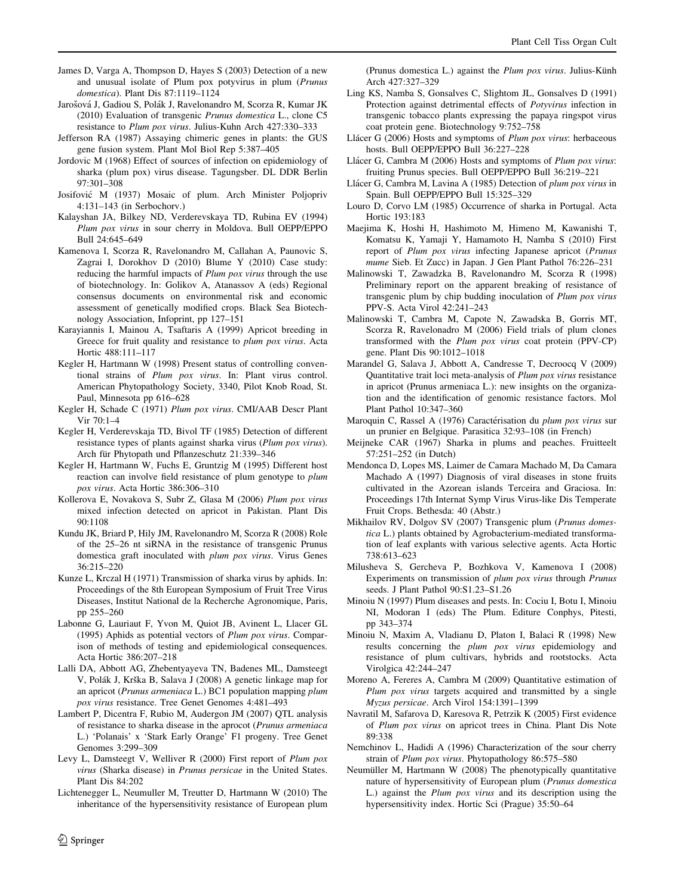- <span id="page-9-0"></span>James D, Varga A, Thompson D, Hayes S (2003) Detection of a new and unusual isolate of Plum pox potyvirus in plum (Prunus domestica). Plant Dis 87:1119–1124
- Jarošová J, Gadiou S, Polák J, Ravelonandro M, Scorza R, Kumar JK (2010) Evaluation of transgenic Prunus domestica L., clone C5 resistance to Plum pox virus. Julius-Kuhn Arch 427:330–333
- Jefferson RA (1987) Assaying chimeric genes in plants: the GUS gene fusion system. Plant Mol Biol Rep 5:387–405
- Jordovic M (1968) Effect of sources of infection on epidemiology of sharka (plum pox) virus disease. Tagungsber. DL DDR Berlin 97:301–308
- Josifovic´ M (1937) Mosaic of plum. Arch Minister Poljopriv 4:131–143 (in Serbochorv.)
- Kalayshan JA, Bilkey ND, Verderevskaya TD, Rubina EV (1994) Plum pox virus in sour cherry in Moldova. Bull OEPP/EPPO Bull 24:645–649
- Kamenova I, Scorza R, Ravelonandro M, Callahan A, Paunovic S, Zagrai I, Dorokhov D (2010) Blume Y (2010) Case study: reducing the harmful impacts of *Plum pox virus* through the use of biotechnology. In: Golikov A, Atanassov A (eds) Regional consensus documents on environmental risk and economic assessment of genetically modified crops. Black Sea Biotechnology Association, Infoprint, pp 127–151
- Karayiannis I, Mainou A, Tsaftaris A (1999) Apricot breeding in Greece for fruit quality and resistance to plum pox virus. Acta Hortic 488:111–117
- Kegler H, Hartmann W (1998) Present status of controlling conventional strains of Plum pox virus. In: Plant virus control. American Phytopathology Society, 3340, Pilot Knob Road, St. Paul, Minnesota pp 616–628
- Kegler H, Schade C (1971) Plum pox virus. CMI/AAB Descr Plant Vir 70:1–4
- Kegler H, Verderevskaja TD, Bivol TF (1985) Detection of different resistance types of plants against sharka virus (Plum pox virus). Arch für Phytopath und Pflanzeschutz 21:339-346
- Kegler H, Hartmann W, Fuchs E, Gruntzig M (1995) Different host reaction can involve field resistance of plum genotype to plum pox virus. Acta Hortic 386:306–310
- Kollerova E, Novakova S, Subr Z, Glasa M (2006) Plum pox virus mixed infection detected on apricot in Pakistan. Plant Dis 90:1108
- Kundu JK, Briard P, Hily JM, Ravelonandro M, Scorza R (2008) Role of the 25–26 nt siRNA in the resistance of transgenic Prunus domestica graft inoculated with plum pox virus. Virus Genes 36:215–220
- Kunze L, Krczal H (1971) Transmission of sharka virus by aphids. In: Proceedings of the 8th European Symposium of Fruit Tree Virus Diseases, Institut National de la Recherche Agronomique, Paris, pp 255–260
- Labonne G, Lauriaut F, Yvon M, Quiot JB, Avinent L, Llacer GL (1995) Aphids as potential vectors of Plum pox virus. Comparison of methods of testing and epidemiological consequences. Acta Hortic 386:207–218
- Lalli DA, Abbott AG, Zhebentyayeva TN, Badenes ML, Damsteegt V, Polák J, Krška B, Salava J (2008) A genetic linkage map for an apricot (Prunus armeniaca L.) BC1 population mapping plum pox virus resistance. Tree Genet Genomes 4:481–493
- Lambert P, Dicentra F, Rubio M, Audergon JM (2007) QTL analysis of resistance to sharka disease in the aprocot (Prunus armeniaca L.) 'Polanais' x 'Stark Early Orange' F1 progeny. Tree Genet Genomes 3:299–309
- Levy L, Damsteegt V, Welliver R (2000) First report of Plum pox virus (Sharka disease) in Prunus persicae in the United States. Plant Dis 84:202
- Lichtenegger L, Neumuller M, Treutter D, Hartmann W (2010) The inheritance of the hypersensitivity resistance of European plum

 $\bigcirc$  Springer

(Prunus domestica L.) against the  $Plum$  pox virus. Julius-Künh Arch 427:327–329

- Ling KS, Namba S, Gonsalves C, Slightom JL, Gonsalves D (1991) Protection against detrimental effects of Potyvirus infection in transgenic tobacco plants expressing the papaya ringspot virus coat protein gene. Biotechnology 9:752–758
- Llácer G (2006) Hosts and symptoms of *Plum pox virus*: herbaceous hosts. Bull OEPP/EPPO Bull 36:227–228
- Llácer G, Cambra M (2006) Hosts and symptoms of Plum pox virus: fruiting Prunus species. Bull OEPP/EPPO Bull 36:219–221
- Llácer G, Cambra M, Lavina A (1985) Detection of plum pox virus in Spain. Bull OEPP/EPPO Bull 15:325–329
- Louro D, Corvo LM (1985) Occurrence of sharka in Portugal. Acta Hortic 193:183
- Maejima K, Hoshi H, Hashimoto M, Himeno M, Kawanishi T, Komatsu K, Yamaji Y, Hamamoto H, Namba S (2010) First report of Plum pox virus infecting Japanese apricot (Prunus mume Sieb. Et Zucc) in Japan. J Gen Plant Pathol 76:226–231
- Malinowski T, Zawadzka B, Ravelonandro M, Scorza R (1998) Preliminary report on the apparent breaking of resistance of transgenic plum by chip budding inoculation of Plum pox virus PPV-S. Acta Virol 42:241–243
- Malinowski T, Cambra M, Capote N, Zawadska B, Gorris MT, Scorza R, Ravelonadro M (2006) Field trials of plum clones transformed with the Plum pox virus coat protein (PPV-CP) gene. Plant Dis 90:1012–1018
- Marandel G, Salava J, Abbott A, Candresse T, Decroocq V (2009) Quantitative trait loci meta-analysis of Plum pox virus resistance in apricot (Prunus armeniaca L.): new insights on the organization and the identification of genomic resistance factors. Mol Plant Pathol 10:347–360
- Maroquin C, Rassel A (1976) Caractérisation du plum pox virus sur un prunier en Belgique. Parasitica 32:93–108 (in French)
- Meijneke CAR (1967) Sharka in plums and peaches. Fruitteelt 57:251–252 (in Dutch)
- Mendonca D, Lopes MS, Laimer de Camara Machado M, Da Camara Machado A (1997) Diagnosis of viral diseases in stone fruits cultivated in the Azorean islands Terceira and Graciosa. In: Proceedings 17th Internat Symp Virus Virus-like Dis Temperate Fruit Crops. Bethesda: 40 (Abstr.)
- Mikhailov RV, Dolgov SV (2007) Transgenic plum (Prunus domestica L.) plants obtained by Agrobacterium-mediated transformation of leaf explants with various selective agents. Acta Hortic 738:613–623
- Milusheva S, Gercheva P, Bozhkova V, Kamenova I (2008) Experiments on transmission of plum pox virus through Prunus seeds. J Plant Pathol 90:S1.23–S1.26
- Minoiu N (1997) Plum diseases and pests. In: Cociu I, Botu I, Minoiu NI, Modoran I (eds) The Plum. Editure Conphys, Pitesti, pp 343–374
- Minoiu N, Maxim A, Vladianu D, Platon I, Balaci R (1998) New results concerning the plum pox virus epidemiology and resistance of plum cultivars, hybrids and rootstocks. Acta Virolgica 42:244–247
- Moreno A, Fereres A, Cambra M (2009) Quantitative estimation of Plum pox virus targets acquired and transmitted by a single Myzus persicae. Arch Virol 154:1391–1399
- Navratil M, Safarova D, Karesova R, Petrzik K (2005) First evidence of Plum pox virus on apricot trees in China. Plant Dis Note 89:338
- Nemchinov L, Hadidi A (1996) Characterization of the sour cherry strain of Plum pox virus. Phytopathology 86:575–580
- Neumüller M, Hartmann W (2008) The phenotypically quantitative nature of hypersensitivity of European plum (Prunus domestica L.) against the Plum pox virus and its description using the hypersensitivity index. Hortic Sci (Prague) 35:50–64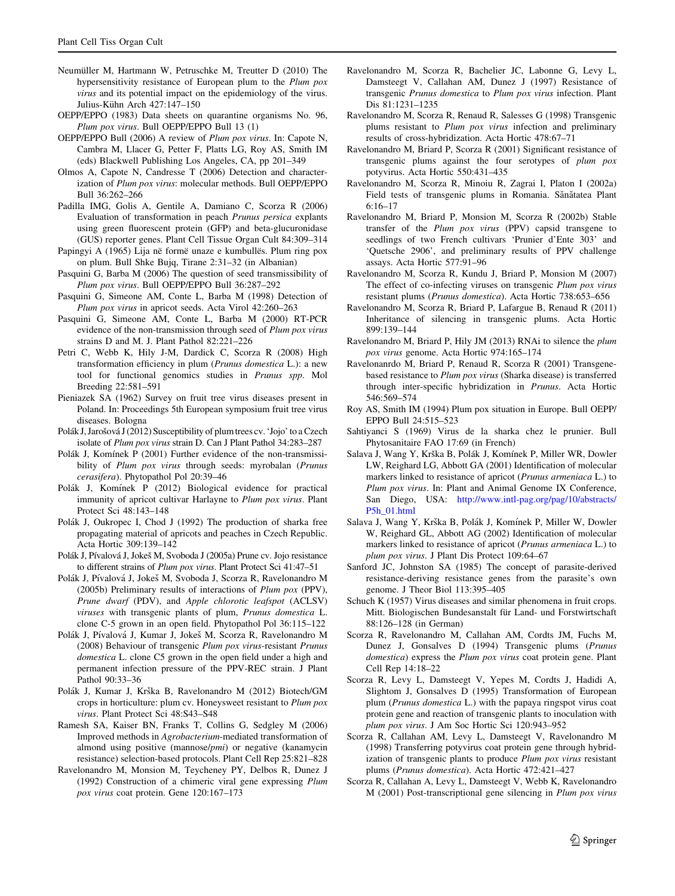- <span id="page-10-0"></span>Neumüller M, Hartmann W, Petruschke M, Treutter D (2010) The hypersensitivity resistance of European plum to the Plum pox virus and its potential impact on the epidemiology of the virus. Julius-Kühn Arch 427:147-150
- OEPP/EPPO (1983) Data sheets on quarantine organisms No. 96, Plum pox virus. Bull OEPP/EPPO Bull 13 (1)
- OEPP/EPPO Bull (2006) A review of Plum pox virus. In: Capote N, Cambra M, Llacer G, Petter F, Platts LG, Roy AS, Smith IM (eds) Blackwell Publishing Los Angeles, CA, pp 201–349
- Olmos A, Capote N, Candresse T (2006) Detection and characterization of Plum pox virus: molecular methods. Bull OEPP/EPPO Bull 36:262–266
- Padilla IMG, Golis A, Gentile A, Damiano C, Scorza R (2006) Evaluation of transformation in peach Prunus persica explants using green fluorescent protein (GFP) and beta-glucuronidase (GUS) reporter genes. Plant Cell Tissue Organ Cult 84:309–314
- Papingyi A (1965) Lija në formë unaze e kumbullës. Plum ring pox on plum. Bull Shke Bujq, Tirane 2:31–32 (in Albanian)
- Pasquini G, Barba M (2006) The question of seed transmissibility of Plum pox virus. Bull OEPP/EPPO Bull 36:287–292
- Pasquini G, Simeone AM, Conte L, Barba M (1998) Detection of Plum pox virus in apricot seeds. Acta Virol 42:260–263
- Pasquini G, Simeone AM, Conte L, Barba M (2000) RT-PCR evidence of the non-transmission through seed of *Plum pox virus* strains D and M. J. Plant Pathol 82:221–226
- Petri C, Webb K, Hily J-M, Dardick C, Scorza R (2008) High transformation efficiency in plum (Prunus domestica L.): a new tool for functional genomics studies in Prunus spp. Mol Breeding 22:581–591
- Pieniazek SA (1962) Survey on fruit tree virus diseases present in Poland. In: Proceedings 5th European symposium fruit tree virus diseases. Bologna
- Polák J, Jarošová J (2012) Susceptibility of plum trees cv. 'Jojo' to a Czech isolate of Plum pox virus strain D. Can J Plant Pathol 34:283–287
- Polák J, Komínek P (2001) Further evidence of the non-transmissibility of Plum pox virus through seeds: myrobalan (Prunus cerasifera). Phytopathol Pol 20:39–46
- Polák J, Komínek P (2012) Biological evidence for practical immunity of apricot cultivar Harlayne to Plum pox virus. Plant Protect Sci 48:143–148
- Polák J, Oukropec I, Chod J (1992) The production of sharka free propagating material of apricots and peaches in Czech Republic. Acta Hortic 309:139–142
- Polák J, Pívalová J, Jokeš M, Svoboda J (2005a) Prune cv. Jojo resistance to different strains of Plum pox virus. Plant Protect Sci 41:47–51
- Polák J, Pívalová J, Jokeš M, Svoboda J, Scorza R, Ravelonandro M (2005b) Preliminary results of interactions of Plum pox (PPV), Prune dwarf (PDV), and Apple chlorotic leafspot (ACLSV) viruses with transgenic plants of plum, Prunus domestica L. clone C-5 grown in an open field. Phytopathol Pol 36:115–122
- Polák J, Pívalová J, Kumar J, Jokeš M, Scorza R, Ravelonandro M (2008) Behaviour of transgenic Plum pox virus-resistant Prunus domestica L. clone C5 grown in the open field under a high and permanent infection pressure of the PPV-REC strain. J Plant Pathol 90:33–36
- Polák J, Kumar J, Krška B, Ravelonandro M (2012) Biotech/GM crops in horticulture: plum cv. Honeysweet resistant to Plum pox virus. Plant Protect Sci 48:S43–S48
- Ramesh SA, Kaiser BN, Franks T, Collins G, Sedgley M (2006) Improved methods in Agrobacterium-mediated transformation of almond using positive (mannose/pmi) or negative (kanamycin resistance) selection-based protocols. Plant Cell Rep 25:821–828
- Ravelonandro M, Monsion M, Teycheney PY, Delbos R, Dunez J (1992) Construction of a chimeric viral gene expressing Plum pox virus coat protein. Gene 120:167–173
- Ravelonandro M, Scorza R, Bachelier JC, Labonne G, Levy L, Damsteegt V, Callahan AM, Dunez J (1997) Resistance of transgenic Prunus domestica to Plum pox virus infection. Plant Dis 81:1231–1235
- Ravelonandro M, Scorza R, Renaud R, Salesses G (1998) Transgenic plums resistant to Plum pox virus infection and preliminary results of cross-hybridization. Acta Hortic 478:67–71
- Ravelonandro M, Briard P, Scorza R (2001) Significant resistance of transgenic plums against the four serotypes of plum pox potyvirus. Acta Hortic 550:431–435
- Ravelonandro M, Scorza R, Minoiu R, Zagrai I, Platon I (2002a) Field tests of transgenic plums in Romania. Sănătatea Plant 6:16–17
- Ravelonandro M, Briard P, Monsion M, Scorza R (2002b) Stable transfer of the Plum pox virus (PPV) capsid transgene to seedlings of two French cultivars 'Prunier d'Ente 303' and 'Quetsche 2906', and preliminary results of PPV challenge assays. Acta Hortic 577:91–96
- Ravelonandro M, Scorza R, Kundu J, Briard P, Monsion M (2007) The effect of co-infecting viruses on transgenic *Plum pox virus* resistant plums (Prunus domestica). Acta Hortic 738:653–656
- Ravelonandro M, Scorza R, Briard P, Lafargue B, Renaud R (2011) Inheritance of silencing in transgenic plums. Acta Hortic 899:139–144
- Ravelonandro M, Briard P, Hily JM (2013) RNAi to silence the plum pox virus genome. Acta Hortic 974:165–174
- Ravelonanrdo M, Briard P, Renaud R, Scorza R (2001) Transgenebased resistance to Plum pox virus (Sharka disease) is transferred through inter-specific hybridization in Prunus. Acta Hortic 546:569–574
- Roy AS, Smith IM (1994) Plum pox situation in Europe. Bull OEPP/ EPPO Bull 24:515–523
- Sahtiyanci S (1969) Virus de la sharka chez le prunier. Bull Phytosanitaire FAO 17:69 (in French)
- Salava J, Wang Y, Krška B, Polák J, Komínek P, Miller WR, Dowler LW, Reighard LG, Abbott GA (2001) Identification of molecular markers linked to resistance of apricot (Prunus armeniaca L.) to Plum pox virus. In: Plant and Animal Genome IX Conference, San Diego, USA: [http://www.intl-pag.org/pag/10/abstracts/](http://www.intl-pag.org/pag/10/abstracts/P5h_01.html) [P5h\\_01.html](http://www.intl-pag.org/pag/10/abstracts/P5h_01.html)
- Salava J, Wang Y, Krška B, Polák J, Komínek P, Miller W, Dowler W, Reighard GL, Abbott AG (2002) Identification of molecular markers linked to resistance of apricot (Prunus armeniaca L.) to plum pox virus. J Plant Dis Protect 109:64–67
- Sanford JC, Johnston SA (1985) The concept of parasite-derived resistance-deriving resistance genes from the parasite's own genome. J Theor Biol 113:395–405
- Schuch K (1957) Virus diseases and similar phenomena in fruit crops. Mitt. Biologischen Bundesanstalt für Land- und Forstwirtschaft 88:126–128 (in German)
- Scorza R, Ravelonandro M, Callahan AM, Cordts JM, Fuchs M, Dunez J, Gonsalves D (1994) Transgenic plums (Prunus domestica) express the Plum pox virus coat protein gene. Plant Cell Rep 14:18–22
- Scorza R, Levy L, Damsteegt V, Yepes M, Cordts J, Hadidi A, Slightom J, Gonsalves D (1995) Transformation of European plum (Prunus domestica L.) with the papaya ringspot virus coat protein gene and reaction of transgenic plants to inoculation with plum pox virus. J Am Soc Hortic Sci 120:943–952
- Scorza R, Callahan AM, Levy L, Damsteegt V, Ravelonandro M (1998) Transferring potyvirus coat protein gene through hybridization of transgenic plants to produce Plum pox virus resistant plums (Prunus domestica). Acta Hortic 472:421–427
- Scorza R, Callahan A, Levy L, Damsteegt V, Webb K, Ravelonandro M (2001) Post-transcriptional gene silencing in Plum pox virus